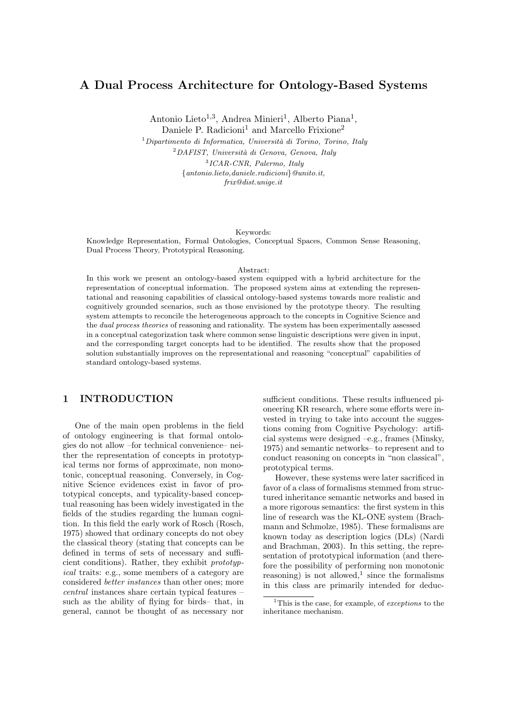# A Dual Process Architecture for Ontology-Based Systems

Antonio Lieto<sup>1,3</sup>, Andrea Minieri<sup>1</sup>, Alberto Piana<sup>1</sup>, Daniele P. Radicioni<sup>1</sup> and Marcello Frixione<sup>2</sup>

 $1$ Dipartimento di Informatica, Università di Torino, Torino, Italy  $^{2}$ DAFIST, Università di Genova, Genova, Italy 3 ICAR-CNR, Palermo, Italy {antonio.lieto,daniele.radicioni}@unito.it, frix@dist.unige.it

#### Keywords:

Knowledge Representation, Formal Ontologies, Conceptual Spaces, Common Sense Reasoning, Dual Process Theory, Prototypical Reasoning.

#### Abstract:

In this work we present an ontology-based system equipped with a hybrid architecture for the representation of conceptual information. The proposed system aims at extending the representational and reasoning capabilities of classical ontology-based systems towards more realistic and cognitively grounded scenarios, such as those envisioned by the prototype theory. The resulting system attempts to reconcile the heterogeneous approach to the concepts in Cognitive Science and the dual process theories of reasoning and rationality. The system has been experimentally assessed in a conceptual categorization task where common sense linguistic descriptions were given in input, and the corresponding target concepts had to be identified. The results show that the proposed solution substantially improves on the representational and reasoning "conceptual" capabilities of standard ontology-based systems.

## 1 INTRODUCTION

One of the main open problems in the field of ontology engineering is that formal ontologies do not allow –for technical convenience– neither the representation of concepts in prototypical terms nor forms of approximate, non monotonic, conceptual reasoning. Conversely, in Cognitive Science evidences exist in favor of prototypical concepts, and typicality-based conceptual reasoning has been widely investigated in the fields of the studies regarding the human cognition. In this field the early work of Rosch (Rosch, 1975) showed that ordinary concepts do not obey the classical theory (stating that concepts can be defined in terms of sets of necessary and sufficient conditions). Rather, they exhibit prototypical traits: e.g., some members of a category are considered better instances than other ones; more central instances share certain typical features – such as the ability of flying for birds– that, in general, cannot be thought of as necessary nor

sufficient conditions. These results influenced pioneering KR research, where some efforts were invested in trying to take into account the suggestions coming from Cognitive Psychology: artificial systems were designed –e.g., frames (Minsky, 1975) and semantic networks– to represent and to conduct reasoning on concepts in "non classical", prototypical terms.

However, these systems were later sacrificed in favor of a class of formalisms stemmed from structured inheritance semantic networks and based in a more rigorous semantics: the first system in this line of research was the KL-ONE system (Brachmann and Schmolze, 1985). These formalisms are known today as description logics (DLs) (Nardi and Brachman, 2003). In this setting, the representation of prototypical information (and therefore the possibility of performing non monotonic reasoning) is not allowed,<sup>1</sup> since the formalisms in this class are primarily intended for deduc-

<sup>&</sup>lt;sup>1</sup>This is the case, for example, of *exceptions* to the inheritance mechanism.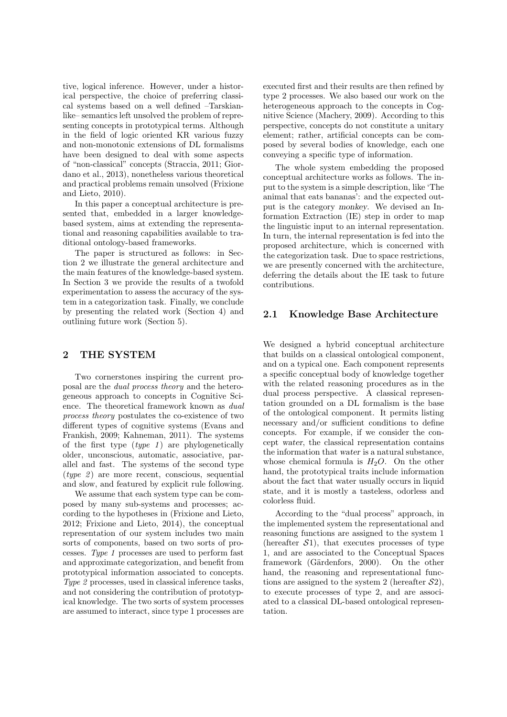tive, logical inference. However, under a historical perspective, the choice of preferring classical systems based on a well defined –Tarskianlike– semantics left unsolved the problem of representing concepts in prototypical terms. Although in the field of logic oriented KR various fuzzy and non-monotonic extensions of DL formalisms have been designed to deal with some aspects of "non-classical" concepts (Straccia, 2011; Giordano et al., 2013), nonetheless various theoretical and practical problems remain unsolved (Frixione and Lieto, 2010).

In this paper a conceptual architecture is presented that, embedded in a larger knowledgebased system, aims at extending the representational and reasoning capabilities available to traditional ontology-based frameworks.

The paper is structured as follows: in Section 2 we illustrate the general architecture and the main features of the knowledge-based system. In Section 3 we provide the results of a twofold experimentation to assess the accuracy of the system in a categorization task. Finally, we conclude by presenting the related work (Section 4) and outlining future work (Section 5).

### 2 THE SYSTEM

Two cornerstones inspiring the current proposal are the dual process theory and the heterogeneous approach to concepts in Cognitive Science. The theoretical framework known as dual process theory postulates the co-existence of two different types of cognitive systems (Evans and Frankish, 2009; Kahneman, 2011). The systems of the first type  $(type 1)$  are phylogenetically older, unconscious, automatic, associative, parallel and fast. The systems of the second type  $(type 2)$  are more recent, conscious, sequential and slow, and featured by explicit rule following.

We assume that each system type can be composed by many sub-systems and processes; according to the hypotheses in (Frixione and Lieto, 2012; Frixione and Lieto, 2014), the conceptual representation of our system includes two main sorts of components, based on two sorts of processes. Type 1 processes are used to perform fast and approximate categorization, and benefit from prototypical information associated to concepts. Type 2 processes, used in classical inference tasks, and not considering the contribution of prototypical knowledge. The two sorts of system processes are assumed to interact, since type 1 processes are executed first and their results are then refined by type 2 processes. We also based our work on the heterogeneous approach to the concepts in Cognitive Science (Machery, 2009). According to this perspective, concepts do not constitute a unitary element; rather, artificial concepts can be composed by several bodies of knowledge, each one conveying a specific type of information.

The whole system embedding the proposed conceptual architecture works as follows. The input to the system is a simple description, like 'The animal that eats bananas': and the expected output is the category monkey. We devised an Information Extraction (IE) step in order to map the linguistic input to an internal representation. In turn, the internal representation is fed into the proposed architecture, which is concerned with the categorization task. Due to space restrictions, we are presently concerned with the architecture, deferring the details about the IE task to future contributions.

## 2.1 Knowledge Base Architecture

We designed a hybrid conceptual architecture that builds on a classical ontological component, and on a typical one. Each component represents a specific conceptual body of knowledge together with the related reasoning procedures as in the dual process perspective. A classical representation grounded on a DL formalism is the base of the ontological component. It permits listing necessary and/or sufficient conditions to define concepts. For example, if we consider the concept water, the classical representation contains the information that water is a natural substance, whose chemical formula is  $H_2O$ . On the other hand, the prototypical traits include information about the fact that water usually occurs in liquid state, and it is mostly a tasteless, odorless and colorless fluid.

According to the "dual process" approach, in the implemented system the representational and reasoning functions are assigned to the system 1 (hereafter  $S1$ ), that executes processes of type 1, and are associated to the Conceptual Spaces framework (Gärdenfors, 2000). On the other hand, the reasoning and representational functions are assigned to the system 2 (hereafter  $S_2$ ), to execute processes of type 2, and are associated to a classical DL-based ontological representation.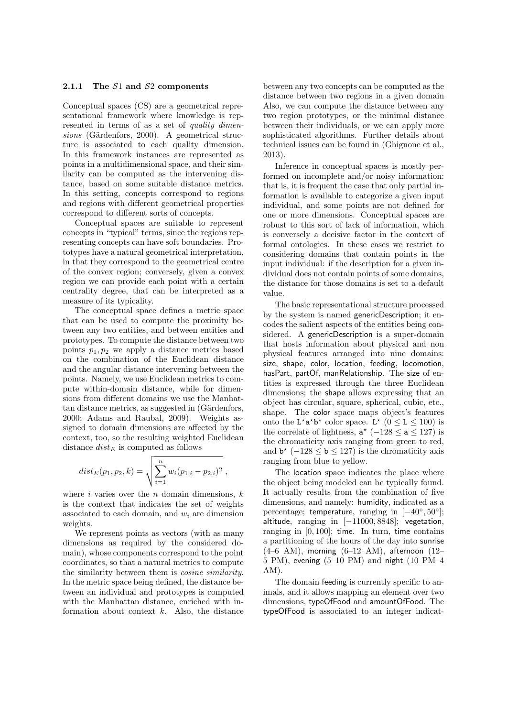#### 2.1.1 The  $S1$  and  $S2$  components

Conceptual spaces (CS) are a geometrical representational framework where knowledge is represented in terms of as a set of quality dimen $sions$  (Gärdenfors, 2000). A geometrical structure is associated to each quality dimension. In this framework instances are represented as points in a multidimensional space, and their similarity can be computed as the intervening distance, based on some suitable distance metrics. In this setting, concepts correspond to regions and regions with different geometrical properties correspond to different sorts of concepts.

Conceptual spaces are suitable to represent concepts in "typical" terms, since the regions representing concepts can have soft boundaries. Prototypes have a natural geometrical interpretation, in that they correspond to the geometrical centre of the convex region; conversely, given a convex region we can provide each point with a certain centrality degree, that can be interpreted as a measure of its typicality.

The conceptual space defines a metric space that can be used to compute the proximity between any two entities, and between entities and prototypes. To compute the distance between two points  $p_1, p_2$  we apply a distance metrics based on the combination of the Euclidean distance and the angular distance intervening between the points. Namely, we use Euclidean metrics to compute within-domain distance, while for dimensions from different domains we use the Manhattan distance metrics, as suggested in (Gärdenfors, 2000; Adams and Raubal, 2009). Weights assigned to domain dimensions are affected by the context, too, so the resulting weighted Euclidean distance  $dist_E$  is computed as follows

$$
dist_E(p_1, p_2, k) = \sqrt{\sum_{i=1}^n w_i (p_{1,i} - p_{2,i})^2},
$$

where  $i$  varies over the  $n$  domain dimensions,  $k$ is the context that indicates the set of weights associated to each domain, and  $w_i$  are dimension weights.

We represent points as vectors (with as many dimensions as required by the considered domain), whose components correspond to the point coordinates, so that a natural metrics to compute the similarity between them is cosine similarity. In the metric space being defined, the distance between an individual and prototypes is computed with the Manhattan distance, enriched with information about context  $k$ . Also, the distance

between any two concepts can be computed as the distance between two regions in a given domain Also, we can compute the distance between any two region prototypes, or the minimal distance between their individuals, or we can apply more sophisticated algorithms. Further details about technical issues can be found in (Ghignone et al., 2013).

Inference in conceptual spaces is mostly performed on incomplete and/or noisy information: that is, it is frequent the case that only partial information is available to categorize a given input individual, and some points are not defined for one or more dimensions. Conceptual spaces are robust to this sort of lack of information, which is conversely a decisive factor in the context of formal ontologies. In these cases we restrict to considering domains that contain points in the input individual: if the description for a given individual does not contain points of some domains, the distance for those domains is set to a default value.

The basic representational structure processed by the system is named genericDescription; it encodes the salient aspects of the entities being considered. A genericDescription is a super-domain that hosts information about physical and non physical features arranged into nine domains: size, shape, color, location, feeding, locomotion, hasPart, partOf, manRelationship. The size of entities is expressed through the three Euclidean dimensions; the shape allows expressing that an object has circular, square, spherical, cubic, etc., shape. The color space maps object's features onto the L<sup>\*</sup>a<sup>\*</sup>b<sup>\*</sup> color space. L<sup>\*</sup> ( $0 \le L \le 100$ ) is the correlate of lightness,  $a^*$  (-128  $\le a \le 127$ ) is the chromaticity axis ranging from green to red, and  $\mathbf{b}^*$  (-128  $\leq \mathbf{b} \leq 127$ ) is the chromaticity axis ranging from blue to yellow.

The location space indicates the place where the object being modeled can be typically found. It actually results from the combination of five dimensions, and namely: humidity, indicated as a percentage; temperature, ranging in  $[-40^{\circ}, 50^{\circ}]$ ; altitude, ranging in [−11000, 8848]; vegetation, ranging in  $[0, 100]$ ; time. In turn, time contains a partitioning of the hours of the day into sunrise  $(4–6$  AM), morning  $(6–12$  AM), afternoon  $(12–6)$ 5 PM), evening (5–10 PM) and night (10 PM–4 AM).

The domain feeding is currently specific to animals, and it allows mapping an element over two dimensions, typeOfFood and amountOfFood. The typeOfFood is associated to an integer indicat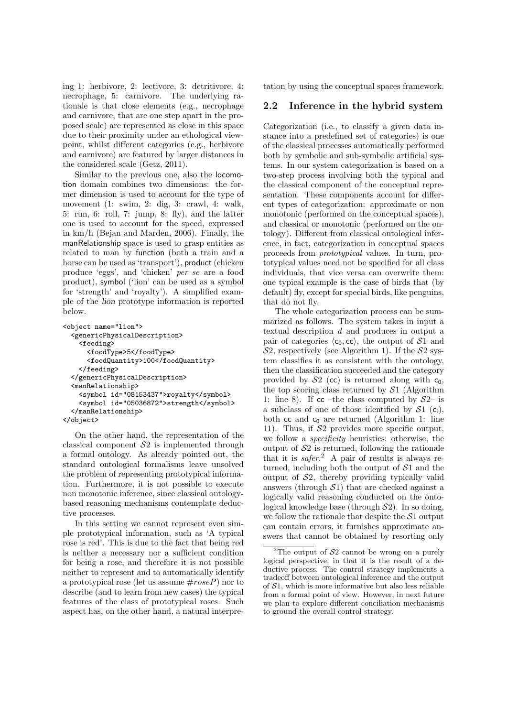ing 1: herbivore, 2: lectivore, 3: detritivore, 4: necrophage, 5: carnivore. The underlying rationale is that close elements (e.g., necrophage and carnivore, that are one step apart in the proposed scale) are represented as close in this space due to their proximity under an ethological viewpoint, whilst different categories (e.g., herbivore and carnivore) are featured by larger distances in the considered scale (Getz, 2011).

Similar to the previous one, also the locomotion domain combines two dimensions: the former dimension is used to account for the type of movement (1: swim, 2: dig, 3: crawl, 4: walk, 5: run, 6: roll, 7: jump, 8: fly), and the latter one is used to account for the speed, expressed in km/h (Bejan and Marden, 2006). Finally, the manRelationship space is used to grasp entities as related to man by function (both a train and a horse can be used as 'transport'), product (chicken produce 'eggs', and 'chicken' per se are a food product), symbol ('lion' can be used as a symbol for 'strength' and 'royalty'). A simplified example of the lion prototype information is reported below.

```
<object name="lion">
  <genericPhysicalDescription>
    <feeding>
     <foodType>5</foodType>
      <foodQuantity>100</foodQuantity>
    </feeding>
  </genericPhysicalDescription>
  <manRelationship>
    <symbol id="08153437">royalty</symbol>
    <symbol id="05036872">strength</symbol>
  </manRelationship>
</object>
```
On the other hand, the representation of the classical component  $S2$  is implemented through a formal ontology. As already pointed out, the standard ontological formalisms leave unsolved the problem of representing prototypical information. Furthermore, it is not possible to execute non monotonic inference, since classical ontologybased reasoning mechanisms contemplate deductive processes.

In this setting we cannot represent even simple prototypical information, such as 'A typical rose is red'. This is due to the fact that being red is neither a necessary nor a sufficient condition for being a rose, and therefore it is not possible neither to represent and to automatically identify a prototypical rose (let us assume  $\#roseP$ ) nor to describe (and to learn from new cases) the typical features of the class of prototypical roses. Such aspect has, on the other hand, a natural interpretation by using the conceptual spaces framework.

## 2.2 Inference in the hybrid system

Categorization (i.e., to classify a given data instance into a predefined set of categories) is one of the classical processes automatically performed both by symbolic and sub-symbolic artificial systems. In our system categorization is based on a two-step process involving both the typical and the classical component of the conceptual representation. These components account for different types of categorization: approximate or non monotonic (performed on the conceptual spaces), and classical or monotonic (performed on the ontology). Different from classical ontological inference, in fact, categorization in conceptual spaces proceeds from prototypical values. In turn, prototypical values need not be specified for all class individuals, that vice versa can overwrite them: one typical example is the case of birds that (by default) fly, except for special birds, like penguins, that do not fly.

The whole categorization process can be summarized as follows. The system takes in input a textual description d and produces in output a pair of categories  $\langle c_0, \text{cc} \rangle$ , the output of S1 and  $S_2$ , respectively (see Algorithm 1). If the  $S_2$  system classifies it as consistent with the ontology, then the classification succeeded and the category provided by  $S_2$  (cc) is returned along with  $c_0$ , the top scoring class returned by  $S1$  (Algorithm 1: line 8). If  $cc$  –the class computed by  $S2$ – is a subclass of one of those identified by  $S1$  (c<sub>i</sub>), both  $cc$  and  $c_0$  are returned (Algorithm 1: line 11). Thus, if  $S2$  provides more specific output, we follow a specificity heuristics; otherwise, the output of  $S2$  is returned, following the rationale that it is  $safter^2$ . A pair of results is always returned, including both the output of  $S1$  and the output of S2, thereby providing typically valid answers (through  $S_1$ ) that are checked against a logically valid reasoning conducted on the ontological knowledge base (through  $S2$ ). In so doing, we follow the rationale that despite the  $S1$  output can contain errors, it furnishes approximate answers that cannot be obtained by resorting only

<sup>&</sup>lt;sup>2</sup>The output of  $S_2$  cannot be wrong on a purely logical perspective, in that it is the result of a deductive process. The control strategy implements a tradeoff between ontological inference and the output of  $S1$ , which is more informative but also less reliable from a formal point of view. However, in next future we plan to explore different conciliation mechanisms to ground the overall control strategy.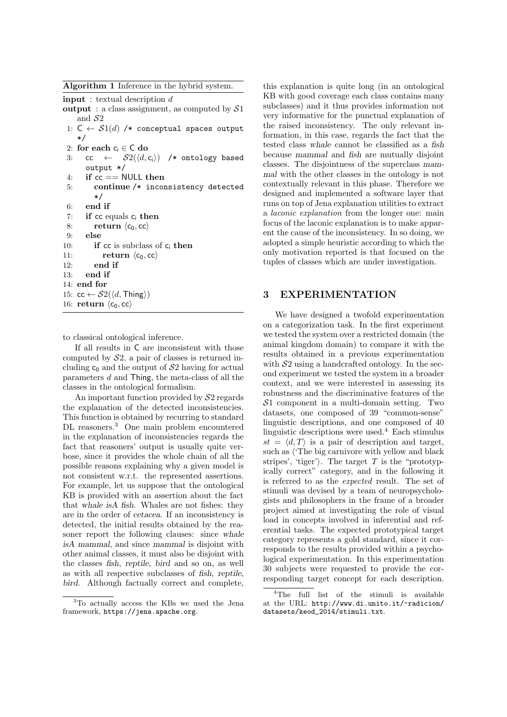Algorithm 1 Inference in the hybrid system.

input : textual description d

- output : a class assignment, as computed by  $S1$ and  $S<sub>2</sub>$
- 1:  $C \leftarrow S1(d)$  /\* conceptual spaces output \*/
- 2: for each  $c_i \in C$  do
- 3: cc  $\leftarrow$   $S2(\langle d, c_i \rangle)$  /\* ontology based output \*/
- 4: if  $cc == \text{NULL}$  then
- 5: continue /\* inconsistency detected \*/

```
6: end if
```

```
7: if cc equals c_i then
```

```
8: return \langle c_0, cc \rangle9: else
```

```
10: if cc is subclass of c_i then
11: return \langle c_0, cc \rangle<br>12: end if
            end if
13: end if
14: end for
15: cc \leftarrow \mathcal{S}2(\langle d, \mathsf{Things} \rangle)
```
16: return  $\langle c_0, cc \rangle$ 

to classical ontological inference.

If all results in C are inconsistent with those computed by  $S_2$ , a pair of classes is returned including  $c_0$  and the output of  $S2$  having for actual parameters d and Thing, the meta-class of all the classes in the ontological formalism.

An important function provided by  $S2$  regards the explanation of the detected inconsistencies. This function is obtained by recurring to standard DL reasoners.<sup>3</sup> One main problem encountered in the explanation of inconsistencies regards the fact that reasoners' output is usually quite verbose, since it provides the whole chain of all the possible reasons explaining why a given model is not consistent w.r.t. the represented assertions. For example, let us suppose that the ontological KB is provided with an assertion about the fact that whale isA fish. Whales are not fishes: they are in the order of cetacea. If an inconsistency is detected, the initial results obtained by the reasoner report the following clauses: since whale isA mammal, and since mammal is disjoint with other animal classes, it must also be disjoint with the classes fish, reptile, bird and so on, as well as with all respective subclasses of fish, reptile, bird. Although factually correct and complete,

this explanation is quite long (in an ontological KB with good coverage each class contains many subclasses) and it thus provides information not very informative for the punctual explanation of the raised inconsistency. The only relevant information, in this case, regards the fact that the tested class whale cannot be classified as a fish because mammal and fish are mutually disjoint classes. The disjointness of the superclass mammal with the other classes in the ontology is not contextually relevant in this phase. Therefore we designed and implemented a software layer that runs on top of Jena explanation utilities to extract a laconic explanation from the longer one: main focus of the laconic explanation is to make apparent the cause of the inconsistency. In so doing, we adopted a simple heuristic according to which the only motivation reported is that focused on the tuples of classes which are under investigation.

## 3 EXPERIMENTATION

We have designed a twofold experimentation on a categorization task. In the first experiment we tested the system over a restricted domain (the animal kingdom domain) to compare it with the results obtained in a previous experimentation with  $S2$  using a handcrafted ontology. In the second experiment we tested the system in a broader context, and we were interested in assessing its robustness and the discriminative features of the  $S1$  component in a multi-domain setting. Two datasets, one composed of 39 "common-sense" linguistic descriptions, and one composed of 40 linguistic descriptions were used.<sup>4</sup> Each stimulus  $st = \langle d, T \rangle$  is a pair of description and target, such as  $\langle$  The big carnivore with yellow and black stripes', 'tiger'). The target T is the "prototypically correct" category, and in the following it is referred to as the expected result. The set of stimuli was devised by a team of neuropsychologists and philosophers in the frame of a broader project aimed at investigating the role of visual load in concepts involved in inferential and referential tasks. The expected prototypical target category represents a gold standard, since it corresponds to the results provided within a psychological experimentation. In this experimentation 30 subjects were requested to provide the corresponding target concept for each description.

<sup>3</sup>To actually access the KBs we used the Jena framework, https://jena.apache.org.

<sup>4</sup>The full list of the stimuli is available at the URL: http://www.di.unito.it/~radicion/ datasets/keod\_2014/stimuli.txt.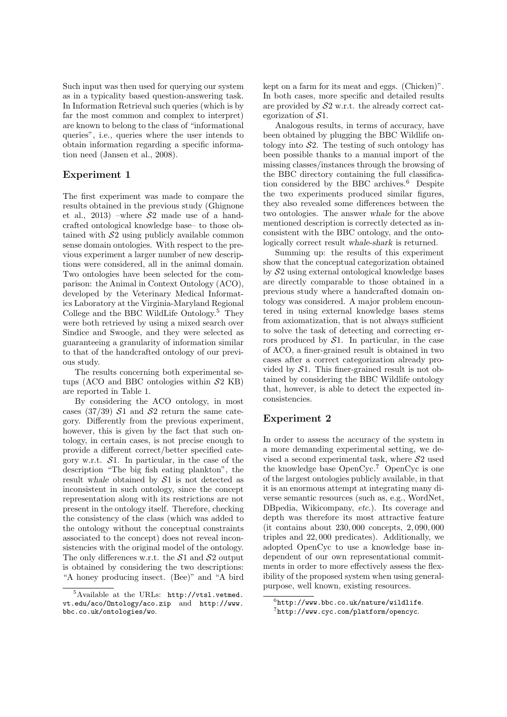Such input was then used for querying our system as in a typicality based question-answering task. In Information Retrieval such queries (which is by far the most common and complex to interpret) are known to belong to the class of "informational queries", i.e., queries where the user intends to obtain information regarding a specific information need (Jansen et al., 2008).

## Experiment 1

The first experiment was made to compare the results obtained in the previous study (Ghignone et al., 2013) –where  $S2$  made use of a handcrafted ontological knowledge base– to those obtained with  $S2$  using publicly available common sense domain ontologies. With respect to the previous experiment a larger number of new descriptions were considered, all in the animal domain. Two ontologies have been selected for the comparison: the Animal in Context Ontology (ACO), developed by the Veterinary Medical Informatics Laboratory at the Virginia-Maryland Regional College and the BBC WildLife Ontology.<sup>5</sup> They were both retrieved by using a mixed search over Sindice and Swoogle, and they were selected as guaranteeing a granularity of information similar to that of the handcrafted ontology of our previous study.

The results concerning both experimental setups (ACO and BBC ontologies within  $S2$  KB) are reported in Table 1.

By considering the ACO ontology, in most cases (37/39)  $S1$  and  $S2$  return the same category. Differently from the previous experiment, however, this is given by the fact that such ontology, in certain cases, is not precise enough to provide a different correct/better specified category w.r.t.  $S1$ . In particular, in the case of the description "The big fish eating plankton", the result whale obtained by S1 is not detected as inconsistent in such ontology, since the concept representation along with its restrictions are not present in the ontology itself. Therefore, checking the consistency of the class (which was added to the ontology without the conceptual constraints associated to the concept) does not reveal inconsistencies with the original model of the ontology. The only differences w.r.t. the  $S1$  and  $S2$  output is obtained by considering the two descriptions: "A honey producing insect. (Bee)" and "A bird

kept on a farm for its meat and eggs. (Chicken)". In both cases, more specific and detailed results are provided by  $S2$  w.r.t. the already correct categorization of  $S1$ .

Analogous results, in terms of accuracy, have been obtained by plugging the BBC Wildlife ontology into  $S<sub>2</sub>$ . The testing of such ontology has been possible thanks to a manual import of the missing classes/instances through the browsing of the BBC directory containing the full classification considered by the BBC archives.<sup>6</sup> Despite the two experiments produced similar figures, they also revealed some differences between the two ontologies. The answer whale for the above mentioned description is correctly detected as inconsistent with the BBC ontology, and the ontologically correct result whale-shark is returned.

Summing up: the results of this experiment show that the conceptual categorization obtained by S2 using external ontological knowledge bases are directly comparable to those obtained in a previous study where a handcrafted domain ontology was considered. A major problem encountered in using external knowledge bases stems from axiomatization, that is not always sufficient to solve the task of detecting and correcting errors produced by  $S1$ . In particular, in the case of ACO, a finer-grained result is obtained in two cases after a correct categorization already provided by  $S1$ . This finer-grained result is not obtained by considering the BBC Wildlife ontology that, however, is able to detect the expected inconsistencies.

## Experiment 2

In order to assess the accuracy of the system in a more demanding experimental setting, we devised a second experimental task, where  $S2$  used the knowledge base OpenCyc.<sup>7</sup> OpenCyc is one of the largest ontologies publicly available, in that it is an enormous attempt at integrating many diverse semantic resources (such as, e.g., WordNet, DB pedia, Wikicompany, etc.). Its coverage and depth was therefore its most attractive feature (it contains about 230, 000 concepts, 2, 090, 000 triples and 22, 000 predicates). Additionally, we adopted OpenCyc to use a knowledge base independent of our own representational commitments in order to more effectively assess the flexibility of the proposed system when using generalpurpose, well known, existing resources.

 ${}^{5}$ Available at the URLs: http://vtsl.vetmed. vt.edu/aco/Ontology/aco.zip and http://www. bbc.co.uk/ontologies/wo.

 $6$ http://www.bbc.co.uk/nature/wildlife. 7 http://www.cyc.com/platform/opencyc.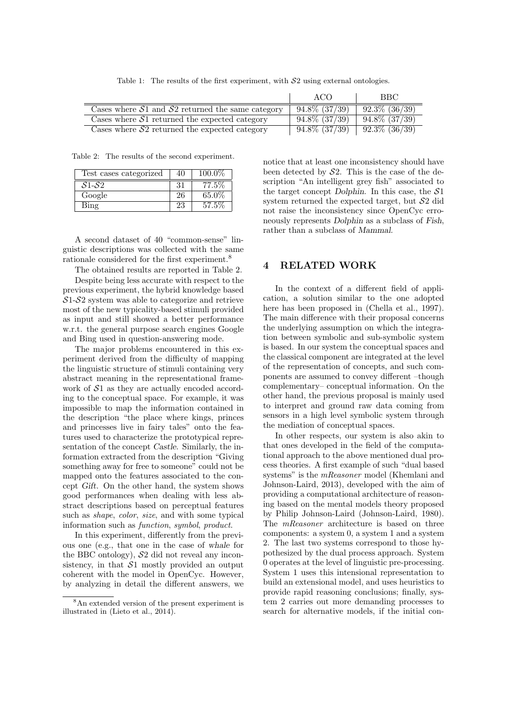Table 1: The results of the first experiment, with  $S2$  using external ontologies.

|                                                      | ACO                | <b>BBC</b>         |
|------------------------------------------------------|--------------------|--------------------|
| Cases where $S1$ and $S2$ returned the same category | $94.8\%$ $(37/39)$ | $92.3\%$ $(36/39)$ |
| Cases where $S1$ returned the expected category      | $94.8\%$ $(37/39)$ | $94.8\%$ $(37/39)$ |
| Cases where $S2$ returned the expected category      | $94.8\%$ $(37/39)$ | $92.3\%$ $(36/39)$ |

Table 2: The results of the second experiment.

| Test cases categorized | 40  | 100.0% |
|------------------------|-----|--------|
| $S1-S2$                | -31 | 77.5%  |
| Google                 | 26  | 65.0%  |
| $\operatorname{Bing}$  | 23  | 57.5%  |

A second dataset of 40 "common-sense" linguistic descriptions was collected with the same rationale considered for the first experiment.<sup>8</sup>

The obtained results are reported in Table 2.

Despite being less accurate with respect to the previous experiment, the hybrid knowledge based  $S1-S2$  system was able to categorize and retrieve most of the new typicality-based stimuli provided as input and still showed a better performance w.r.t. the general purpose search engines Google and Bing used in question-answering mode.

The major problems encountered in this experiment derived from the difficulty of mapping the linguistic structure of stimuli containing very abstract meaning in the representational framework of  $S1$  as they are actually encoded according to the conceptual space. For example, it was impossible to map the information contained in the description "the place where kings, princes and princesses live in fairy tales" onto the features used to characterize the prototypical representation of the concept Castle. Similarly, the information extracted from the description "Giving something away for free to someone" could not be mapped onto the features associated to the concept Gift. On the other hand, the system shows good performances when dealing with less abstract descriptions based on perceptual features such as shape, color, size, and with some typical information such as function, symbol, product.

In this experiment, differently from the previous one (e.g., that one in the case of whale for the BBC ontology),  $S2$  did not reveal any inconsistency, in that  $S1$  mostly provided an output coherent with the model in OpenCyc. However, by analyzing in detail the different answers, we

notice that at least one inconsistency should have been detected by  $S2$ . This is the case of the description "An intelligent grey fish" associated to the target concept Dolphin. In this case, the  $S1$ system returned the expected target, but S2 did not raise the inconsistency since OpenCyc erroneously represents Dolphin as a subclass of Fish, rather than a subclass of Mammal.

## 4 RELATED WORK

In the context of a different field of application, a solution similar to the one adopted here has been proposed in (Chella et al., 1997). The main difference with their proposal concerns the underlying assumption on which the integration between symbolic and sub-symbolic system is based. In our system the conceptual spaces and the classical component are integrated at the level of the representation of concepts, and such components are assumed to convey different –though complementary– conceptual information. On the other hand, the previous proposal is mainly used to interpret and ground raw data coming from sensors in a high level symbolic system through the mediation of conceptual spaces.

In other respects, our system is also akin to that ones developed in the field of the computational approach to the above mentioned dual process theories. A first example of such "dual based systems" is the *mReasoner* model (Khemlani and Johnson-Laird, 2013), developed with the aim of providing a computational architecture of reasoning based on the mental models theory proposed by Philip Johnson-Laird (Johnson-Laird, 1980). The *mReasoner* architecture is based on three components: a system 0, a system 1 and a system 2. The last two systems correspond to those hypothesized by the dual process approach. System 0 operates at the level of linguistic pre-processing. System 1 uses this intensional representation to build an extensional model, and uses heuristics to provide rapid reasoning conclusions; finally, system 2 carries out more demanding processes to search for alternative models, if the initial con-

<sup>8</sup>An extended version of the present experiment is illustrated in (Lieto et al., 2014).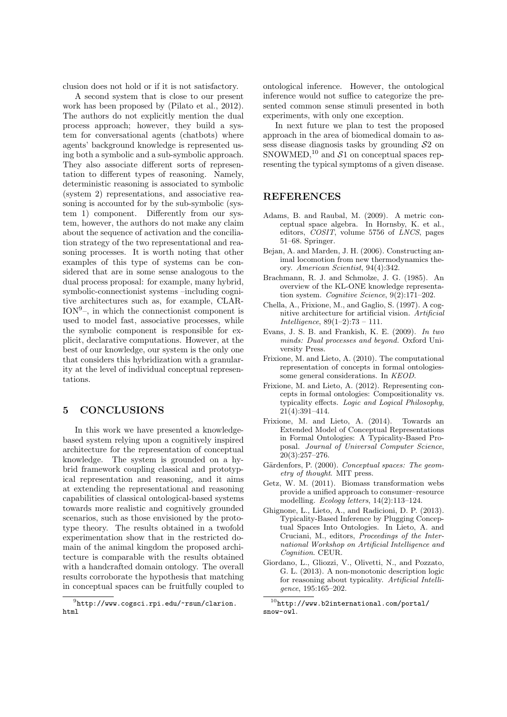clusion does not hold or if it is not satisfactory.

A second system that is close to our present work has been proposed by (Pilato et al., 2012). The authors do not explicitly mention the dual process approach; however, they build a system for conversational agents (chatbots) where agents' background knowledge is represented using both a symbolic and a sub-symbolic approach. They also associate different sorts of representation to different types of reasoning. Namely, deterministic reasoning is associated to symbolic (system 2) representations, and associative reasoning is accounted for by the sub-symbolic (system 1) component. Differently from our system, however, the authors do not make any claim about the sequence of activation and the conciliation strategy of the two representational and reasoning processes. It is worth noting that other examples of this type of systems can be considered that are in some sense analogous to the dual process proposal: for example, many hybrid, symbolic-connectionist systems –including cognitive architectures such as, for example, CLAR- $ION<sup>9</sup>$ , in which the connectionist component is used to model fast, associative processes, while the symbolic component is responsible for explicit, declarative computations. However, at the best of our knowledge, our system is the only one that considers this hybridization with a granularity at the level of individual conceptual representations.

## 5 CONCLUSIONS

In this work we have presented a knowledgebased system relying upon a cognitively inspired architecture for the representation of conceptual knowledge. The system is grounded on a hybrid framework coupling classical and prototypical representation and reasoning, and it aims at extending the representational and reasoning capabilities of classical ontological-based systems towards more realistic and cognitively grounded scenarios, such as those envisioned by the prototype theory. The results obtained in a twofold experimentation show that in the restricted domain of the animal kingdom the proposed architecture is comparable with the results obtained with a handcrafted domain ontology. The overall results corroborate the hypothesis that matching in conceptual spaces can be fruitfully coupled to

ontological inference. However, the ontological inference would not suffice to categorize the presented common sense stimuli presented in both experiments, with only one exception.

In next future we plan to test the proposed approach in the area of biomedical domain to assess disease diagnosis tasks by grounding  $S<sub>2</sub>$  on SNOWMED,<sup>10</sup> and  $S1$  on conceptual spaces representing the typical symptoms of a given disease.

## REFERENCES

- Adams, B. and Raubal, M. (2009). A metric conceptual space algebra. In Hornsby, K. et al., editors, COSIT, volume 5756 of LNCS, pages 51–68. Springer.
- Bejan, A. and Marden, J. H. (2006). Constructing animal locomotion from new thermodynamics theory. American Scientist, 94(4):342.
- Brachmann, R. J. and Schmolze, J. G. (1985). An overview of the KL-ONE knowledge representation system. Cognitive Science, 9(2):171–202.
- Chella, A., Frixione, M., and Gaglio, S. (1997). A cognitive architecture for artificial vision. Artificial Intelligence, 89(1–2):73 – 111.
- Evans, J. S. B. and Frankish, K. E. (2009). In two minds: Dual processes and beyond. Oxford University Press.
- Frixione, M. and Lieto, A. (2010). The computational representation of concepts in formal ontologiessome general considerations. In KEOD.
- Frixione, M. and Lieto, A. (2012). Representing concepts in formal ontologies: Compositionality vs. typicality effects. Logic and Logical Philosophy, 21(4):391–414.
- Frixione, M. and Lieto, A. (2014). Towards an Extended Model of Conceptual Representations in Formal Ontologies: A Typicality-Based Proposal. Journal of Universal Computer Science,  $20(3):257-276.$
- Gärdenfors, P. (2000). Conceptual spaces: The geometry of thought. MIT press.
- Getz, W. M. (2011). Biomass transformation webs provide a unified approach to consumer–resource modelling. *Ecology letters*, 14(2):113-124.
- Ghignone, L., Lieto, A., and Radicioni, D. P. (2013). Typicality-Based Inference by Plugging Conceptual Spaces Into Ontologies. In Lieto, A. and Cruciani, M., editors, Proceedings of the International Workshop on Artificial Intelligence and Cognition. CEUR.
- Giordano, L., Gliozzi, V., Olivetti, N., and Pozzato, G. L. (2013). A non-monotonic description logic for reasoning about typicality. Artificial Intelligence, 195:165–202.

 $^{9}$ http://www.cogsci.rpi.edu/~rsun/clarion. html

 $^{10}\text{http://www.b2international.com/portal/}$ snow-owl.